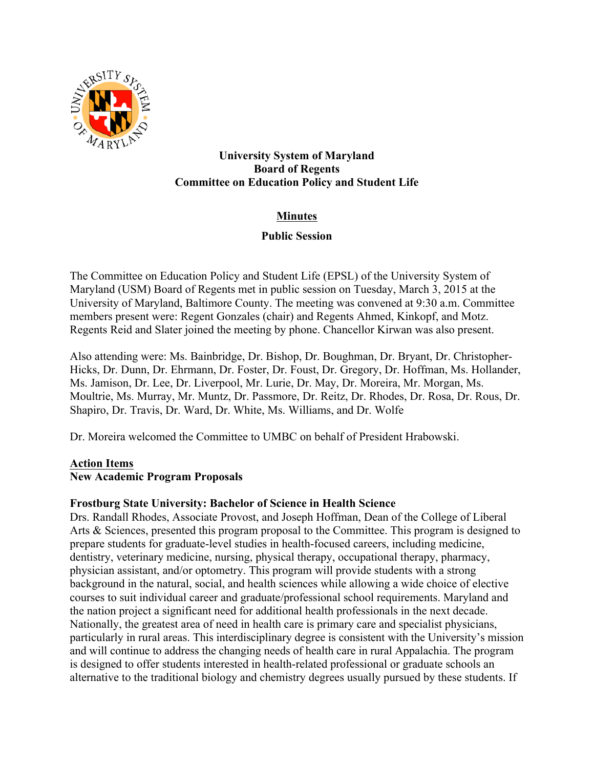

#### **University System of Maryland Board of Regents Committee on Education Policy and Student Life**

# **Minutes**

## **Public Session**

The Committee on Education Policy and Student Life (EPSL) of the University System of Maryland (USM) Board of Regents met in public session on Tuesday, March 3, 2015 at the University of Maryland, Baltimore County. The meeting was convened at 9:30 a.m. Committee members present were: Regent Gonzales (chair) and Regents Ahmed, Kinkopf, and Motz. Regents Reid and Slater joined the meeting by phone. Chancellor Kirwan was also present.

Also attending were: Ms. Bainbridge, Dr. Bishop, Dr. Boughman, Dr. Bryant, Dr. Christopher-Hicks, Dr. Dunn, Dr. Ehrmann, Dr. Foster, Dr. Foust, Dr. Gregory, Dr. Hoffman, Ms. Hollander, Ms. Jamison, Dr. Lee, Dr. Liverpool, Mr. Lurie, Dr. May, Dr. Moreira, Mr. Morgan, Ms. Moultrie, Ms. Murray, Mr. Muntz, Dr. Passmore, Dr. Reitz, Dr. Rhodes, Dr. Rosa, Dr. Rous, Dr. Shapiro, Dr. Travis, Dr. Ward, Dr. White, Ms. Williams, and Dr. Wolfe

Dr. Moreira welcomed the Committee to UMBC on behalf of President Hrabowski.

## **Action Items**

## **New Academic Program Proposals**

## **Frostburg State University: Bachelor of Science in Health Science**

Drs. Randall Rhodes, Associate Provost, and Joseph Hoffman, Dean of the College of Liberal Arts & Sciences, presented this program proposal to the Committee. This program is designed to prepare students for graduate-level studies in health-focused careers, including medicine, dentistry, veterinary medicine, nursing, physical therapy, occupational therapy, pharmacy, physician assistant, and/or optometry. This program will provide students with a strong background in the natural, social, and health sciences while allowing a wide choice of elective courses to suit individual career and graduate/professional school requirements. Maryland and the nation project a significant need for additional health professionals in the next decade. Nationally, the greatest area of need in health care is primary care and specialist physicians, particularly in rural areas. This interdisciplinary degree is consistent with the University's mission and will continue to address the changing needs of health care in rural Appalachia. The program is designed to offer students interested in health-related professional or graduate schools an alternative to the traditional biology and chemistry degrees usually pursued by these students. If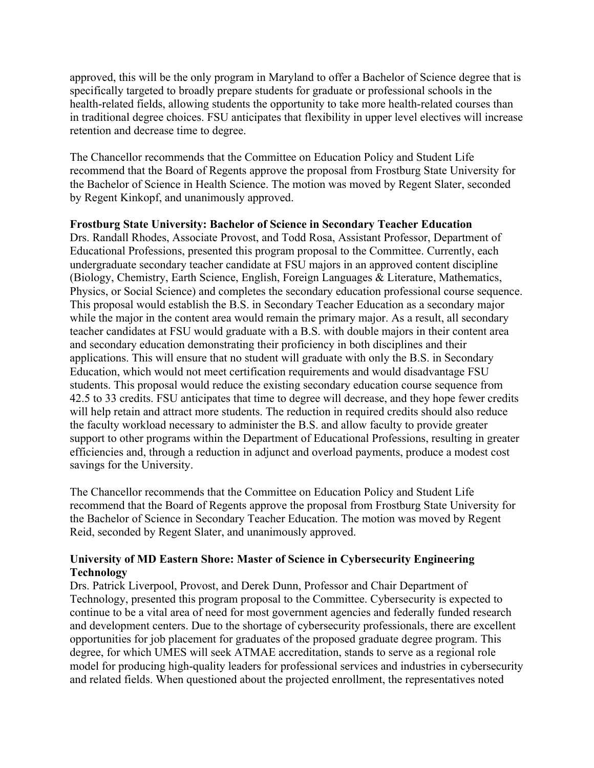approved, this will be the only program in Maryland to offer a Bachelor of Science degree that is specifically targeted to broadly prepare students for graduate or professional schools in the health-related fields, allowing students the opportunity to take more health-related courses than in traditional degree choices. FSU anticipates that flexibility in upper level electives will increase retention and decrease time to degree.

The Chancellor recommends that the Committee on Education Policy and Student Life recommend that the Board of Regents approve the proposal from Frostburg State University for the Bachelor of Science in Health Science. The motion was moved by Regent Slater, seconded by Regent Kinkopf, and unanimously approved.

## **Frostburg State University: Bachelor of Science in Secondary Teacher Education**

Drs. Randall Rhodes, Associate Provost, and Todd Rosa, Assistant Professor, Department of Educational Professions, presented this program proposal to the Committee. Currently, each undergraduate secondary teacher candidate at FSU majors in an approved content discipline (Biology, Chemistry, Earth Science, English, Foreign Languages & Literature, Mathematics, Physics, or Social Science) and completes the secondary education professional course sequence. This proposal would establish the B.S. in Secondary Teacher Education as a secondary major while the major in the content area would remain the primary major. As a result, all secondary teacher candidates at FSU would graduate with a B.S. with double majors in their content area and secondary education demonstrating their proficiency in both disciplines and their applications. This will ensure that no student will graduate with only the B.S. in Secondary Education, which would not meet certification requirements and would disadvantage FSU students. This proposal would reduce the existing secondary education course sequence from 42.5 to 33 credits. FSU anticipates that time to degree will decrease, and they hope fewer credits will help retain and attract more students. The reduction in required credits should also reduce the faculty workload necessary to administer the B.S. and allow faculty to provide greater support to other programs within the Department of Educational Professions, resulting in greater efficiencies and, through a reduction in adjunct and overload payments, produce a modest cost savings for the University.

The Chancellor recommends that the Committee on Education Policy and Student Life recommend that the Board of Regents approve the proposal from Frostburg State University for the Bachelor of Science in Secondary Teacher Education. The motion was moved by Regent Reid, seconded by Regent Slater, and unanimously approved.

#### **University of MD Eastern Shore: Master of Science in Cybersecurity Engineering Technology**

Drs. Patrick Liverpool, Provost, and Derek Dunn, Professor and Chair Department of Technology, presented this program proposal to the Committee. Cybersecurity is expected to continue to be a vital area of need for most government agencies and federally funded research and development centers. Due to the shortage of cybersecurity professionals, there are excellent opportunities for job placement for graduates of the proposed graduate degree program. This degree, for which UMES will seek ATMAE accreditation, stands to serve as a regional role model for producing high-quality leaders for professional services and industries in cybersecurity and related fields. When questioned about the projected enrollment, the representatives noted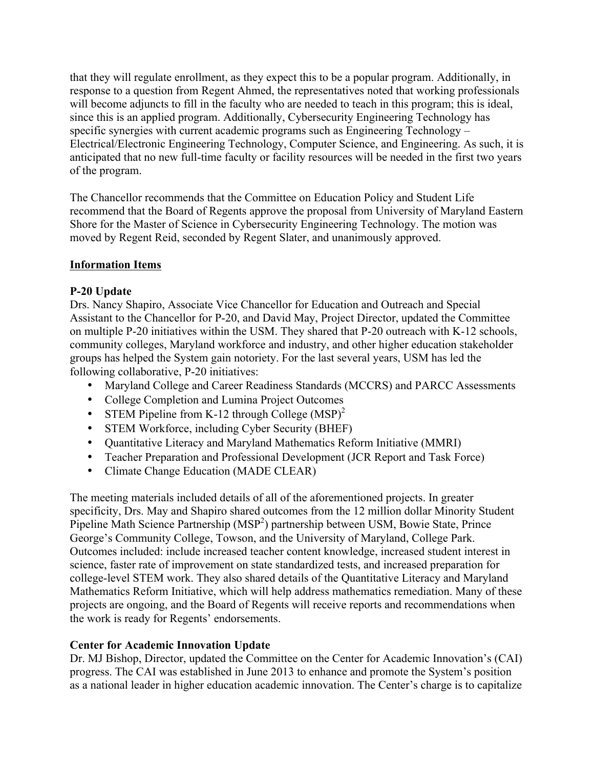that they will regulate enrollment, as they expect this to be a popular program. Additionally, in response to a question from Regent Ahmed, the representatives noted that working professionals will become adjuncts to fill in the faculty who are needed to teach in this program; this is ideal, since this is an applied program. Additionally, Cybersecurity Engineering Technology has specific synergies with current academic programs such as Engineering Technology – Electrical/Electronic Engineering Technology, Computer Science, and Engineering. As such, it is anticipated that no new full-time faculty or facility resources will be needed in the first two years of the program.

The Chancellor recommends that the Committee on Education Policy and Student Life recommend that the Board of Regents approve the proposal from University of Maryland Eastern Shore for the Master of Science in Cybersecurity Engineering Technology. The motion was moved by Regent Reid, seconded by Regent Slater, and unanimously approved.

## **Information Items**

#### **P-20 Update**

Drs. Nancy Shapiro, Associate Vice Chancellor for Education and Outreach and Special Assistant to the Chancellor for P-20, and David May, Project Director, updated the Committee on multiple P-20 initiatives within the USM. They shared that P-20 outreach with K-12 schools, community colleges, Maryland workforce and industry, and other higher education stakeholder groups has helped the System gain notoriety. For the last several years, USM has led the following collaborative, P-20 initiatives:

- Maryland College and Career Readiness Standards (MCCRS) and PARCC Assessments
- College Completion and Lumina Project Outcomes
- STEM Pipeline from K-12 through College  $(MSP)^2$
- STEM Workforce, including Cyber Security (BHEF)
- Quantitative Literacy and Maryland Mathematics Reform Initiative (MMRI)
- Teacher Preparation and Professional Development (JCR Report and Task Force)
- Climate Change Education (MADE CLEAR)

The meeting materials included details of all of the aforementioned projects. In greater specificity, Drs. May and Shapiro shared outcomes from the 12 million dollar Minority Student Pipeline Math Science Partnership (MSP<sup>2</sup>) partnership between USM, Bowie State, Prince George's Community College, Towson, and the University of Maryland, College Park. Outcomes included: include increased teacher content knowledge, increased student interest in science, faster rate of improvement on state standardized tests, and increased preparation for college-level STEM work. They also shared details of the Quantitative Literacy and Maryland Mathematics Reform Initiative, which will help address mathematics remediation. Many of these projects are ongoing, and the Board of Regents will receive reports and recommendations when the work is ready for Regents' endorsements.

#### **Center for Academic Innovation Update**

Dr. MJ Bishop, Director, updated the Committee on the Center for Academic Innovation's (CAI) progress. The CAI was established in June 2013 to enhance and promote the System's position as a national leader in higher education academic innovation. The Center's charge is to capitalize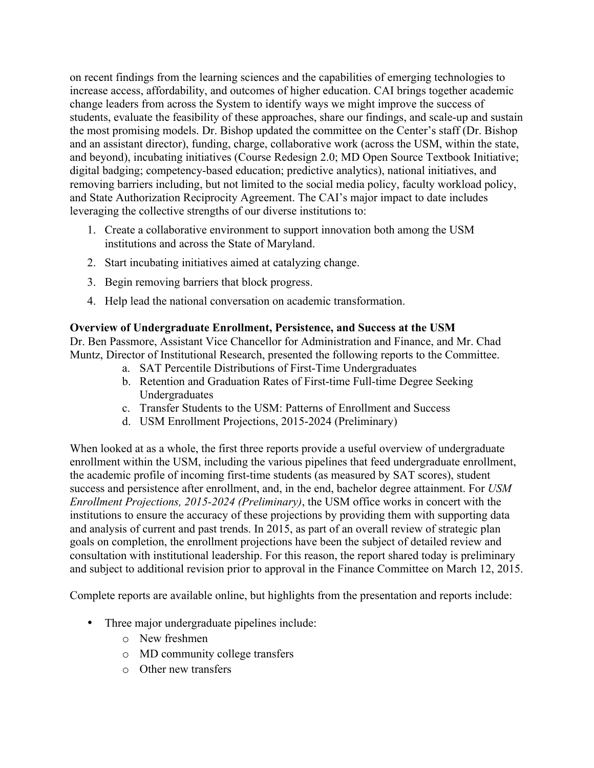on recent findings from the learning sciences and the capabilities of emerging technologies to increase access, affordability, and outcomes of higher education. CAI brings together academic change leaders from across the System to identify ways we might improve the success of students, evaluate the feasibility of these approaches, share our findings, and scale-up and sustain the most promising models. Dr. Bishop updated the committee on the Center's staff (Dr. Bishop and an assistant director), funding, charge, collaborative work (across the USM, within the state, and beyond), incubating initiatives (Course Redesign 2.0; MD Open Source Textbook Initiative; digital badging; competency-based education; predictive analytics), national initiatives, and removing barriers including, but not limited to the social media policy, faculty workload policy, and State Authorization Reciprocity Agreement. The CAI's major impact to date includes leveraging the collective strengths of our diverse institutions to:

- 1. Create a collaborative environment to support innovation both among the USM institutions and across the State of Maryland.
- 2. Start incubating initiatives aimed at catalyzing change.
- 3. Begin removing barriers that block progress.
- 4. Help lead the national conversation on academic transformation.

## **Overview of Undergraduate Enrollment, Persistence, and Success at the USM**

Dr. Ben Passmore, Assistant Vice Chancellor for Administration and Finance, and Mr. Chad Muntz, Director of Institutional Research, presented the following reports to the Committee.

- a. SAT Percentile Distributions of First-Time Undergraduates
- b. Retention and Graduation Rates of First-time Full-time Degree Seeking **Undergraduates**
- c. Transfer Students to the USM: Patterns of Enrollment and Success
- d. USM Enrollment Projections, 2015-2024 (Preliminary)

When looked at as a whole, the first three reports provide a useful overview of undergraduate enrollment within the USM, including the various pipelines that feed undergraduate enrollment, the academic profile of incoming first-time students (as measured by SAT scores), student success and persistence after enrollment, and, in the end, bachelor degree attainment. For *USM Enrollment Projections, 2015-2024 (Preliminary)*, the USM office works in concert with the institutions to ensure the accuracy of these projections by providing them with supporting data and analysis of current and past trends. In 2015, as part of an overall review of strategic plan goals on completion, the enrollment projections have been the subject of detailed review and consultation with institutional leadership. For this reason, the report shared today is preliminary and subject to additional revision prior to approval in the Finance Committee on March 12, 2015.

Complete reports are available online, but highlights from the presentation and reports include:

- Three major undergraduate pipelines include:
	- o New freshmen
	- o MD community college transfers
	- o Other new transfers